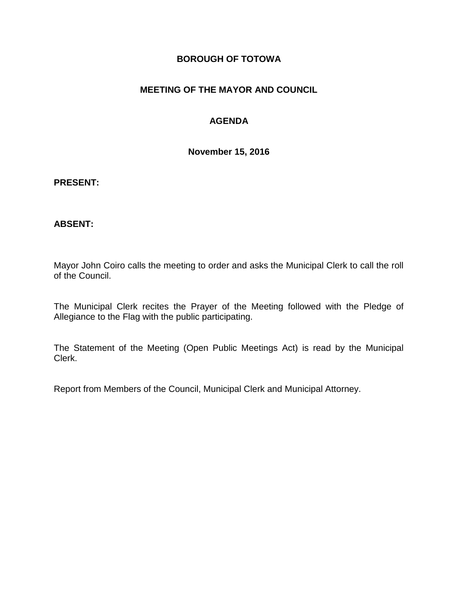### **BOROUGH OF TOTOWA**

### **MEETING OF THE MAYOR AND COUNCIL**

### **AGENDA**

**November 15, 2016**

### **PRESENT:**

### **ABSENT:**

Mayor John Coiro calls the meeting to order and asks the Municipal Clerk to call the roll of the Council.

The Municipal Clerk recites the Prayer of the Meeting followed with the Pledge of Allegiance to the Flag with the public participating.

The Statement of the Meeting (Open Public Meetings Act) is read by the Municipal Clerk.

Report from Members of the Council, Municipal Clerk and Municipal Attorney.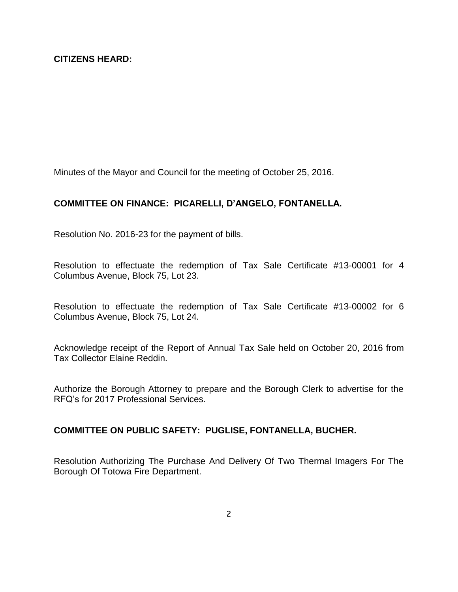Minutes of the Mayor and Council for the meeting of October 25, 2016.

# **COMMITTEE ON FINANCE: PICARELLI, D'ANGELO, FONTANELLA.**

Resolution No. 2016-23 for the payment of bills.

Resolution to effectuate the redemption of Tax Sale Certificate #13-00001 for 4 Columbus Avenue, Block 75, Lot 23.

Resolution to effectuate the redemption of Tax Sale Certificate #13-00002 for 6 Columbus Avenue, Block 75, Lot 24.

Acknowledge receipt of the Report of Annual Tax Sale held on October 20, 2016 from Tax Collector Elaine Reddin.

Authorize the Borough Attorney to prepare and the Borough Clerk to advertise for the RFQ's for 2017 Professional Services.

#### **COMMITTEE ON PUBLIC SAFETY: PUGLISE, FONTANELLA, BUCHER.**

Resolution Authorizing The Purchase And Delivery Of Two Thermal Imagers For The Borough Of Totowa Fire Department.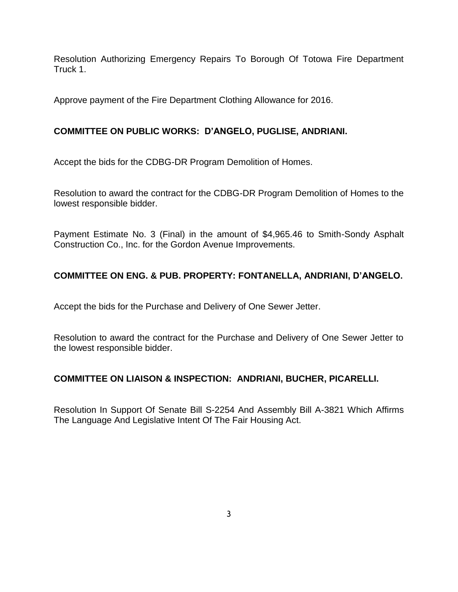Resolution Authorizing Emergency Repairs To Borough Of Totowa Fire Department Truck 1.

Approve payment of the Fire Department Clothing Allowance for 2016.

# **COMMITTEE ON PUBLIC WORKS: D'ANGELO, PUGLISE, ANDRIANI.**

Accept the bids for the CDBG-DR Program Demolition of Homes.

Resolution to award the contract for the CDBG-DR Program Demolition of Homes to the lowest responsible bidder.

Payment Estimate No. 3 (Final) in the amount of \$4,965.46 to Smith-Sondy Asphalt Construction Co., Inc. for the Gordon Avenue Improvements.

# **COMMITTEE ON ENG. & PUB. PROPERTY: FONTANELLA, ANDRIANI, D'ANGELO.**

Accept the bids for the Purchase and Delivery of One Sewer Jetter.

Resolution to award the contract for the Purchase and Delivery of One Sewer Jetter to the lowest responsible bidder.

# **COMMITTEE ON LIAISON & INSPECTION: ANDRIANI, BUCHER, PICARELLI.**

Resolution In Support Of Senate Bill S-2254 And Assembly Bill A-3821 Which Affirms The Language And Legislative Intent Of The Fair Housing Act.